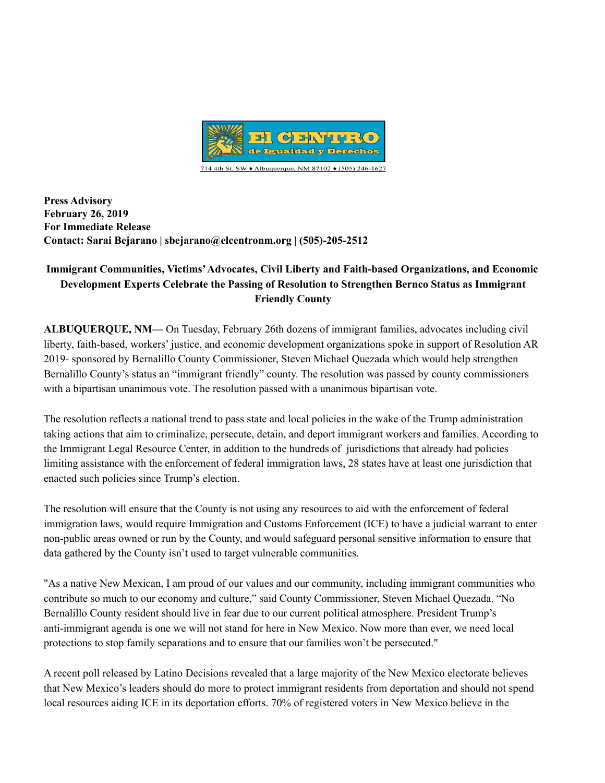

**Press Advisory February 26, 2019 For Immediate Release Contact: Sarai Bejarano | sbejarano@elcentronm.org | (505)-205-2512**

## **Immigrant Communities, Victims'Advocates, Civil Liberty and Faith-based Organizations, and Economic Development Experts Celebrate the Passing of Resolution to Strengthen Bernco Status as Immigrant Friendly County**

**ALBUQUERQUE, NM—** On Tuesday, February 26th dozens of immigrant families, advocates including civil liberty, faith-based, workers' justice, and economic development organizations spoke in support of Resolution AR 2019- sponsored by Bernalillo County Commissioner, Steven Michael Quezada which would help strengthen Bernalillo County's status an "immigrant friendly" county. The resolution was passed by county commissioners with a bipartisan unanimous vote. The resolution passed with a unanimous bipartisan vote.

The resolution reflects a national trend to pass state and local policies in the wake of the Trump administration taking actions that aim to criminalize, persecute, detain, and deport immigrant workers and families. According to the Immigrant Legal Resource Center, in addition to the hundreds of jurisdictions that already had policies limiting assistance with the enforcement of federal immigration laws, 28 states have at least one jurisdiction that enacted such policies since Trump's election.

The resolution will ensure that the County is not using any resources to aid with the enforcement of federal immigration laws, would require Immigration and Customs Enforcement (ICE) to have a judicial warrant to enter non-public areas owned or run by the County, and would safeguard personal sensitive information to ensure that data gathered by the County isn't used to target vulnerable communities.

"As a native New Mexican, I am proud of our values and our community, including immigrant communities who contribute so much to our economy and culture," said County Commissioner, Steven Michael Quezada. "No Bernalillo County resident should live in fear due to our current political atmosphere. President Trump's anti-immigrant agenda is one we will not stand for here in New Mexico. Now more than ever, we need local protections to stop family separations and to ensure that our families won't be persecuted."

A recent poll released by Latino Decisions revealed that a large majority of the New Mexico electorate believes that New Mexico's leaders should do more to protect immigrant residents from deportation and should not spend local resources aiding ICE in its deportation efforts. 70% of registered voters in New Mexico believe in the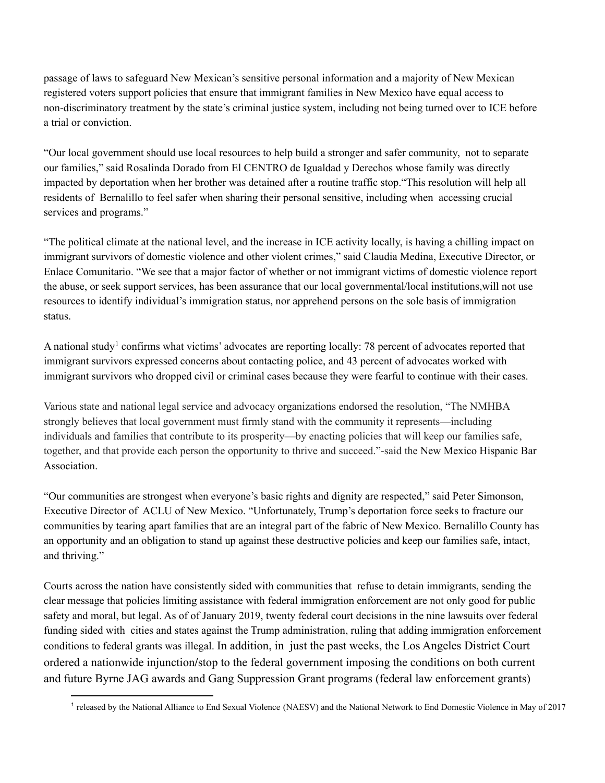passage of laws to safeguard New Mexican's sensitive personal information and a majority of New Mexican registered voters support policies that ensure that immigrant families in New Mexico have equal access to non-discriminatory treatment by the state's criminal justice system, including not being turned over to ICE before a trial or conviction.

"Our local government should use local resources to help build a stronger and safer community, not to separate our families," said Rosalinda Dorado from El CENTRO de Igualdad y Derechos whose family was directly impacted by deportation when her brother was detained after a routine traffic stop."This resolution will help all residents of Bernalillo to feel safer when sharing their personal sensitive, including when accessing crucial services and programs."

"The political climate at the national level, and the increase in ICE activity locally, is having a chilling impact on immigrant survivors of domestic violence and other violent crimes," said Claudia Medina, Executive Director, or Enlace Comunitario. "We see that a major factor of whether or not immigrant victims of domestic violence report the abuse, or seek support services, has been assurance that our local governmental/local institutions,will not use resources to identify individual's immigration status, nor apprehend persons on the sole basis of immigration status.

A national study<sup>1</sup> confirms what victims' advocates are reporting locally: 78 percent of advocates reported that immigrant survivors expressed concerns about contacting police, and 43 percent of advocates worked with immigrant survivors who dropped civil or criminal cases because they were fearful to continue with their cases.

Various state and national legal service and advocacy organizations endorsed the resolution, "The NMHBA strongly believes that local government must firmly stand with the community it represents—including individuals and families that contribute to its prosperity—by enacting policies that will keep our families safe, together, and that provide each person the opportunity to thrive and succeed."-said the New Mexico Hispanic Bar Association.

"Our communities are strongest when everyone's basic rights and dignity are respected," said Peter Simonson, Executive Director of ACLU of New Mexico. "Unfortunately, Trump's deportation force seeks to fracture our communities by tearing apart families that are an integral part of the fabric of New Mexico. Bernalillo County has an opportunity and an obligation to stand up against these destructive policies and keep our families safe, intact, and thriving."

Courts across the nation have consistently sided with communities that refuse to detain immigrants, sending the clear message that policies limiting assistance with federal immigration enforcement are not only good for public safety and moral, but legal. As of of January 2019, twenty federal court decisions in the nine lawsuits over federal funding sided with cities and states against the Trump administration, ruling that adding immigration enforcement conditions to federal grants was illegal. In addition, in just the past weeks, the Los Angeles District Court ordered a nationwide injunction**/**stop to the federal government imposing the conditions on both current and future Byrne JAG awards and Gang Suppression Grant programs (federal law enforcement grants)

<sup>&</sup>lt;sup>1</sup> released by the National Alliance to End Sexual Violence (NAESV) and the National Network to End Domestic Violence in May of 2017